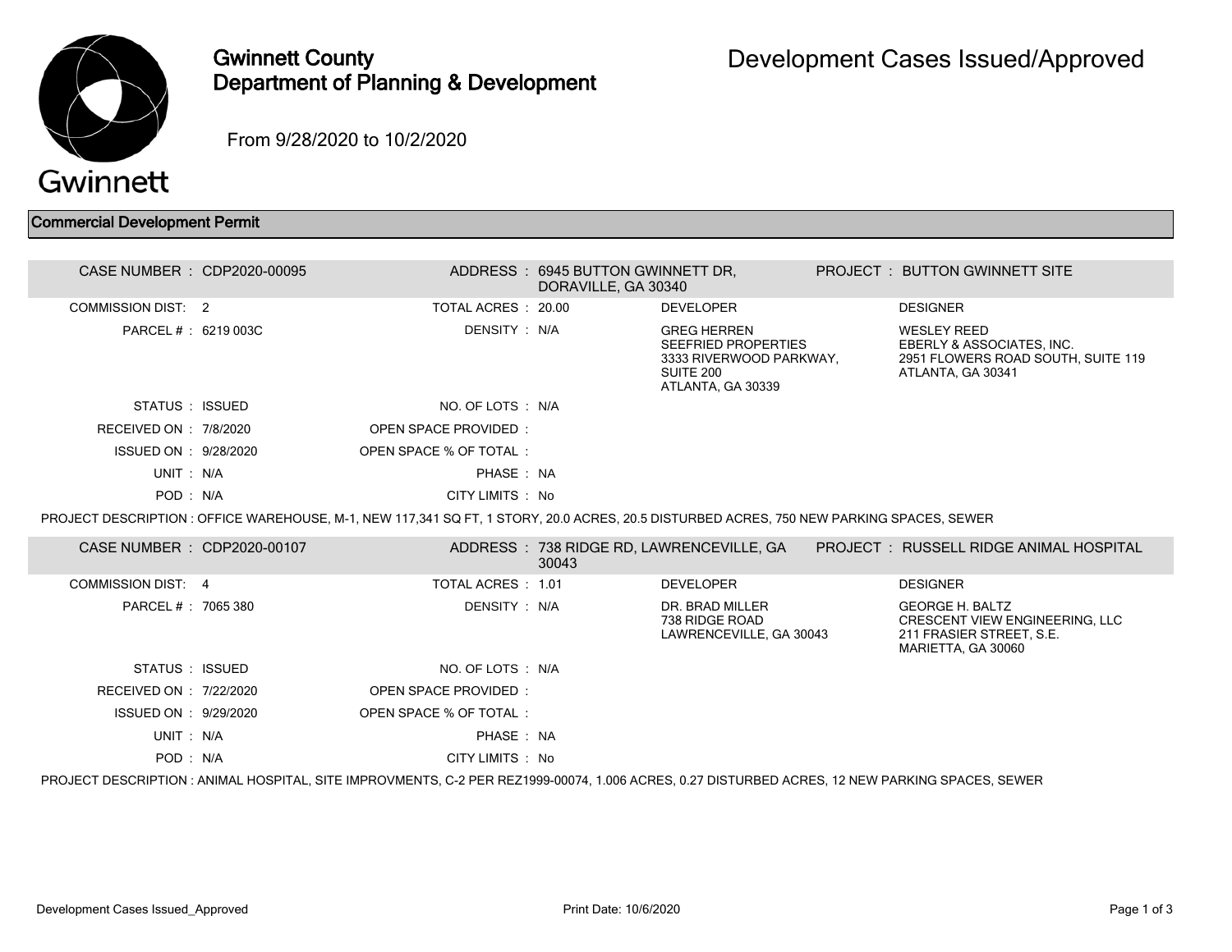

## Gwinnett County Department of Planning & Development

From 9/28/2020 to 10/2/2020

## Commercial Development Permit

| CASE NUMBER : CDP2020-00095                                                                                                                     |  |                             | ADDRESS: 6945 BUTTON GWINNETT DR,<br>DORAVILLE, GA 30340 |                                                                                                        |  | <b>PROJECT : BUTTON GWINNETT SITE</b>                                                                      |  |
|-------------------------------------------------------------------------------------------------------------------------------------------------|--|-----------------------------|----------------------------------------------------------|--------------------------------------------------------------------------------------------------------|--|------------------------------------------------------------------------------------------------------------|--|
| COMMISSION DIST: 2                                                                                                                              |  | TOTAL ACRES : 20.00         |                                                          | <b>DEVELOPER</b>                                                                                       |  | <b>DESIGNER</b>                                                                                            |  |
| PARCEL # : 6219 003C                                                                                                                            |  | DENSITY: N/A                |                                                          | <b>GREG HERREN</b><br>SEEFRIED PROPERTIES<br>3333 RIVERWOOD PARKWAY,<br>SUITE 200<br>ATLANTA, GA 30339 |  | <b>WESLEY REED</b><br>EBERLY & ASSOCIATES, INC.<br>2951 FLOWERS ROAD SOUTH, SUITE 119<br>ATLANTA, GA 30341 |  |
| STATUS : ISSUED                                                                                                                                 |  | NO. OF LOTS : N/A           |                                                          |                                                                                                        |  |                                                                                                            |  |
| RECEIVED ON : 7/8/2020                                                                                                                          |  | <b>OPEN SPACE PROVIDED:</b> |                                                          |                                                                                                        |  |                                                                                                            |  |
| ISSUED ON : 9/28/2020                                                                                                                           |  | OPEN SPACE % OF TOTAL:      |                                                          |                                                                                                        |  |                                                                                                            |  |
| UNIT: N/A                                                                                                                                       |  | PHASE: NA                   |                                                          |                                                                                                        |  |                                                                                                            |  |
| POD: N/A                                                                                                                                        |  | CITY LIMITS : No            |                                                          |                                                                                                        |  |                                                                                                            |  |
| PROJECT DESCRIPTION : OFFICE WAREHOUSE, M-1, NEW 117,341 SQ FT, 1 STORY, 20.0 ACRES, 20.5 DISTURBED ACRES, 750 NEW PARKING SPACES, SEWER        |  |                             |                                                          |                                                                                                        |  |                                                                                                            |  |
| CASE NUMBER : CDP2020-00107                                                                                                                     |  |                             | 30043                                                    | ADDRESS : 738 RIDGE RD, LAWRENCEVILLE, GA                                                              |  | <b>PROJECT : RUSSELL RIDGE ANIMAL HOSPITAL</b>                                                             |  |
| COMMISSION DIST: 4                                                                                                                              |  | TOTAL ACRES: 1.01           |                                                          | <b>DEVELOPER</b>                                                                                       |  | <b>DESIGNER</b>                                                                                            |  |
| PARCEL # : 7065 380                                                                                                                             |  | DENSITY: N/A                |                                                          | DR. BRAD MILLER<br>738 RIDGE ROAD<br>LAWRENCEVILLE, GA 30043                                           |  | <b>GEORGE H. BALTZ</b><br>CRESCENT VIEW ENGINEERING, LLC<br>211 FRASIER STREET. S.E.<br>MARIETTA, GA 30060 |  |
| STATUS : ISSUED                                                                                                                                 |  | NO. OF LOTS : N/A           |                                                          |                                                                                                        |  |                                                                                                            |  |
| RECEIVED ON : 7/22/2020                                                                                                                         |  | OPEN SPACE PROVIDED:        |                                                          |                                                                                                        |  |                                                                                                            |  |
| ISSUED ON : 9/29/2020                                                                                                                           |  | OPEN SPACE % OF TOTAL:      |                                                          |                                                                                                        |  |                                                                                                            |  |
| UNIT: N/A                                                                                                                                       |  | PHASE: NA                   |                                                          |                                                                                                        |  |                                                                                                            |  |
| POD: N/A                                                                                                                                        |  | CITY LIMITS : No            |                                                          |                                                                                                        |  |                                                                                                            |  |
| PROJECT DESCRIPTION : ANIMAL HOSPITAL, SITE IMPROVMENTS, C-2 PER REZ1999-00074, 1.006 ACRES, 0.27 DISTURBED ACRES, 12 NEW PARKING SPACES, SEWER |  |                             |                                                          |                                                                                                        |  |                                                                                                            |  |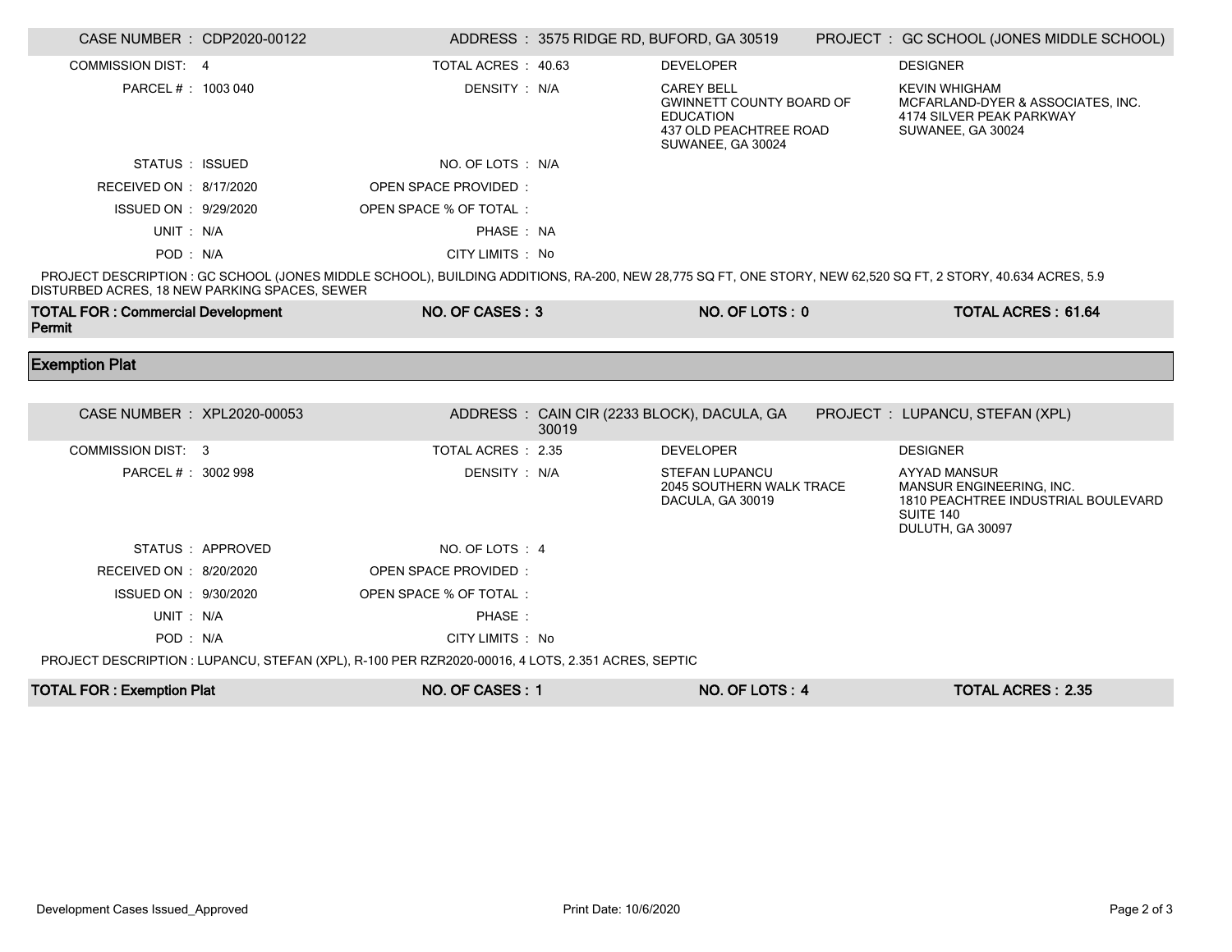| CASE NUMBER : CDP2020-00122                        |                   |                                                                                                   |       | ADDRESS: 3575 RIDGE RD, BUFORD, GA 30519                                                                                | PROJECT : GC SCHOOL (JONES MIDDLE SCHOOL)                                                                                                                    |
|----------------------------------------------------|-------------------|---------------------------------------------------------------------------------------------------|-------|-------------------------------------------------------------------------------------------------------------------------|--------------------------------------------------------------------------------------------------------------------------------------------------------------|
| COMMISSION DIST: 4                                 |                   | TOTAL ACRES 40.63                                                                                 |       | <b>DEVELOPER</b>                                                                                                        | <b>DESIGNER</b>                                                                                                                                              |
| PARCEL # : 1003 040                                |                   | DENSITY: N/A                                                                                      |       | <b>CAREY BELL</b><br><b>GWINNETT COUNTY BOARD OF</b><br><b>EDUCATION</b><br>437 OLD PEACHTREE ROAD<br>SUWANEE, GA 30024 | <b>KEVIN WHIGHAM</b><br>MCFARLAND-DYER & ASSOCIATES, INC.<br>4174 SILVER PEAK PARKWAY<br>SUWANEE, GA 30024                                                   |
| STATUS : ISSUED                                    |                   | NO. OF LOTS : N/A                                                                                 |       |                                                                                                                         |                                                                                                                                                              |
| RECEIVED ON : 8/17/2020                            |                   | OPEN SPACE PROVIDED:                                                                              |       |                                                                                                                         |                                                                                                                                                              |
| ISSUED ON : 9/29/2020                              |                   | OPEN SPACE % OF TOTAL :                                                                           |       |                                                                                                                         |                                                                                                                                                              |
| UNIT: N/A                                          |                   | PHASE: NA                                                                                         |       |                                                                                                                         |                                                                                                                                                              |
| POD: N/A                                           |                   | CITY LIMITS : No                                                                                  |       |                                                                                                                         |                                                                                                                                                              |
| DISTURBED ACRES, 18 NEW PARKING SPACES, SEWER      |                   |                                                                                                   |       |                                                                                                                         | PROJECT DESCRIPTION : GC SCHOOL (JONES MIDDLE SCHOOL), BUILDING ADDITIONS, RA-200, NEW 28,775 SQ FT, ONE STORY, NEW 62,520 SQ FT, 2 STORY, 40.634 ACRES, 5.9 |
| <b>TOTAL FOR: Commercial Development</b><br>Permit |                   | NO. OF CASES: 3                                                                                   |       | NO. OF LOTS: 0                                                                                                          | <b>TOTAL ACRES: 61.64</b>                                                                                                                                    |
| <b>Exemption Plat</b>                              |                   |                                                                                                   |       |                                                                                                                         |                                                                                                                                                              |
|                                                    |                   |                                                                                                   |       |                                                                                                                         |                                                                                                                                                              |
|                                                    |                   |                                                                                                   |       |                                                                                                                         |                                                                                                                                                              |
| CASE NUMBER : XPL2020-00053                        |                   |                                                                                                   | 30019 | ADDRESS: CAIN CIR (2233 BLOCK), DACULA, GA                                                                              | PROJECT : LUPANCU, STEFAN (XPL)                                                                                                                              |
| COMMISSION DIST: 3                                 |                   | TOTAL ACRES : 2.35                                                                                |       | <b>DEVELOPER</b>                                                                                                        | <b>DESIGNER</b>                                                                                                                                              |
| PARCEL # : 3002 998                                |                   | DENSITY: N/A                                                                                      |       | <b>STEFAN LUPANCU</b><br>2045 SOUTHERN WALK TRACE<br>DACULA, GA 30019                                                   | <b>AYYAD MANSUR</b><br>MANSUR ENGINEERING, INC.<br>1810 PEACHTREE INDUSTRIAL BOULEVARD<br>SUITE 140<br>DULUTH, GA 30097                                      |
|                                                    | STATUS : APPROVED | NO. OF LOTS: 4                                                                                    |       |                                                                                                                         |                                                                                                                                                              |
| RECEIVED ON : 8/20/2020                            |                   | <b>OPEN SPACE PROVIDED:</b>                                                                       |       |                                                                                                                         |                                                                                                                                                              |
| ISSUED ON : 9/30/2020                              |                   | OPEN SPACE % OF TOTAL :                                                                           |       |                                                                                                                         |                                                                                                                                                              |
| UNIT: N/A                                          |                   | PHASE:                                                                                            |       |                                                                                                                         |                                                                                                                                                              |
| POD: N/A                                           |                   | CITY LIMITS : No                                                                                  |       |                                                                                                                         |                                                                                                                                                              |
|                                                    |                   | PROJECT DESCRIPTION : LUPANCU, STEFAN (XPL), R-100 PER RZR2020-00016, 4 LOTS, 2.351 ACRES, SEPTIC |       |                                                                                                                         |                                                                                                                                                              |

П